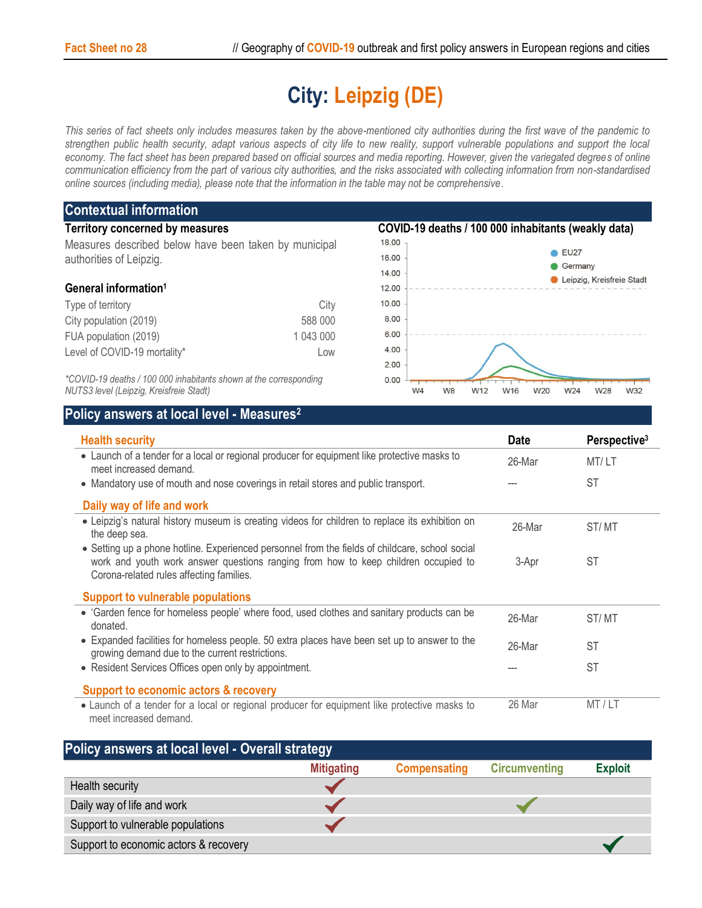## **City: Leipzig (DE)**

*This series of fact sheets only includes measures taken by the above-mentioned city authorities during the first wave of the pandemic to strengthen public health security, adapt various aspects of city life to new reality, support vulnerable populations and support the local*  economy. The fact sheet has been prepared based on official sources and media reporting. However, given the variegated degrees of online *communication efficiency from the part of various city authorities, and the risks associated with collecting information from non-standardised online sources (including media), please note that the information in the table may not be comprehensive*.

| <b>Contextual information</b>                                                                                |                                                     |                        |                       |                                 |
|--------------------------------------------------------------------------------------------------------------|-----------------------------------------------------|------------------------|-----------------------|---------------------------------|
| <b>Territory concerned by measures</b>                                                                       | COVID-19 deaths / 100 000 inhabitants (weakly data) |                        |                       |                                 |
| Measures described below have been taken by municipal<br>authorities of Leipzig.                             |                                                     | 18.00                  |                       |                                 |
|                                                                                                              |                                                     | 16.00                  |                       | $\triangleright$ EU27           |
|                                                                                                              |                                                     | 14.00                  |                       | Germany                         |
| General information <sup>1</sup>                                                                             |                                                     | 12.00                  |                       | Leipzig, Kreisfreie Stadt       |
| Type of territory                                                                                            | City                                                | 10.00                  |                       |                                 |
| City population (2019)                                                                                       | 588 000                                             | 8.00                   |                       |                                 |
| FUA population (2019)                                                                                        | 1 043 000                                           | 6.00                   |                       |                                 |
| Level of COVID-19 mortality*                                                                                 | LOW                                                 | 4.00                   |                       |                                 |
|                                                                                                              |                                                     | 2.00                   |                       |                                 |
| *COVID-19 deaths / 100 000 inhabitants shown at the corresponding<br>NUTS3 level (Leipzig, Kreisfreie Stadt) |                                                     | 0.00<br>W <sub>4</sub> | W <sub>8</sub><br>W12 | W16<br>W24<br>W28<br>W32<br>W20 |

*NUTS3 level (Leipzig, Kreisfreie Stadt)*

## **Policy answers at local level - Measures<sup>2</sup>**

| <b>Health security</b>                                                                                                                                                                                                            | <b>Date</b> | Perspective <sup>3</sup> |
|-----------------------------------------------------------------------------------------------------------------------------------------------------------------------------------------------------------------------------------|-------------|--------------------------|
| • Launch of a tender for a local or regional producer for equipment like protective masks to<br>meet increased demand.                                                                                                            | 26-Mar      | MT/LT                    |
| • Mandatory use of mouth and nose coverings in retail stores and public transport.                                                                                                                                                |             | <b>ST</b>                |
| Daily way of life and work                                                                                                                                                                                                        |             |                          |
| • Leipzig's natural history museum is creating videos for children to replace its exhibition on<br>the deep sea.                                                                                                                  | 26-Mar      | ST/MT                    |
| • Setting up a phone hotline. Experienced personnel from the fields of childcare, school social<br>work and youth work answer questions ranging from how to keep children occupied to<br>Corona-related rules affecting families. | 3-Apr       | <b>ST</b>                |
| <b>Support to vulnerable populations</b>                                                                                                                                                                                          |             |                          |
| • 'Garden fence for homeless people' where food, used clothes and sanitary products can be<br>donated.                                                                                                                            | 26-Mar      | ST/MT                    |
| • Expanded facilities for homeless people. 50 extra places have been set up to answer to the<br>growing demand due to the current restrictions.                                                                                   | 26-Mar      | <b>ST</b>                |
| • Resident Services Offices open only by appointment.                                                                                                                                                                             |             | <b>ST</b>                |
| <b>Support to economic actors &amp; recovery</b>                                                                                                                                                                                  |             |                          |
| • Launch of a tender for a local or regional producer for equipment like protective masks to<br>meet increased demand.                                                                                                            | 26 Mar      | MT/LT                    |

| Policy answers at local level - Overall strategy |                   |                     |                      |                |  |  |  |  |
|--------------------------------------------------|-------------------|---------------------|----------------------|----------------|--|--|--|--|
|                                                  | <b>Mitigating</b> | <b>Compensating</b> | <b>Circumventing</b> | <b>Exploit</b> |  |  |  |  |
| Health security                                  |                   |                     |                      |                |  |  |  |  |
| Daily way of life and work                       |                   |                     |                      |                |  |  |  |  |
| Support to vulnerable populations                |                   |                     |                      |                |  |  |  |  |
| Support to economic actors & recovery            |                   |                     |                      |                |  |  |  |  |